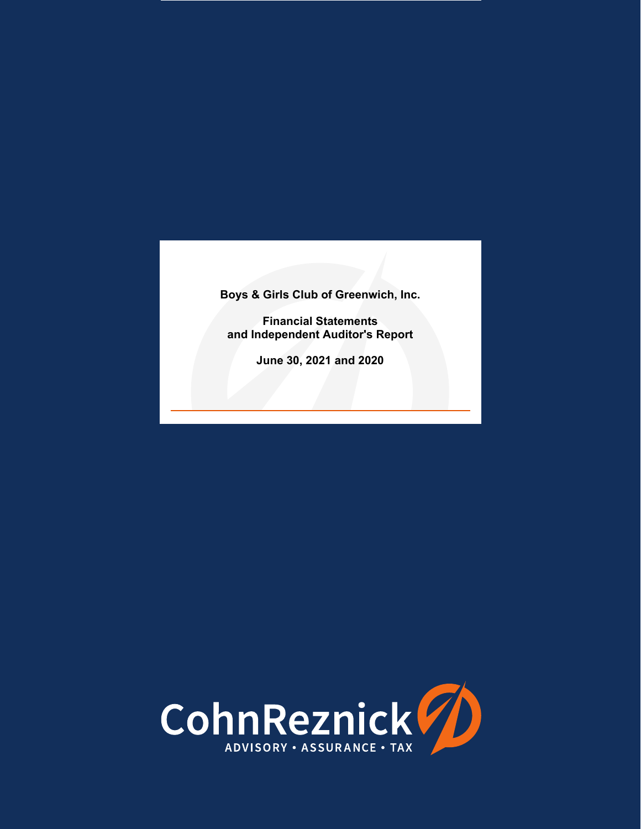**Financial Statements and Independent Auditor's Report** 

**June 30, 2021 and 2020**

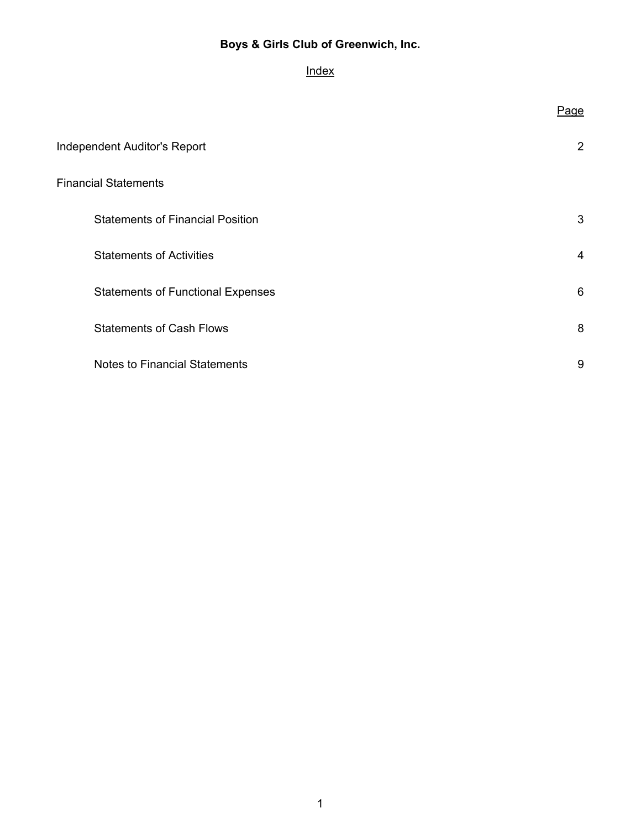# **Index**

|                                          | <u>Page</u> |
|------------------------------------------|-------------|
| <b>Independent Auditor's Report</b>      | 2           |
| <b>Financial Statements</b>              |             |
| <b>Statements of Financial Position</b>  | 3           |
| <b>Statements of Activities</b>          | 4           |
| <b>Statements of Functional Expenses</b> | 6           |
| <b>Statements of Cash Flows</b>          | 8           |
| <b>Notes to Financial Statements</b>     | 9           |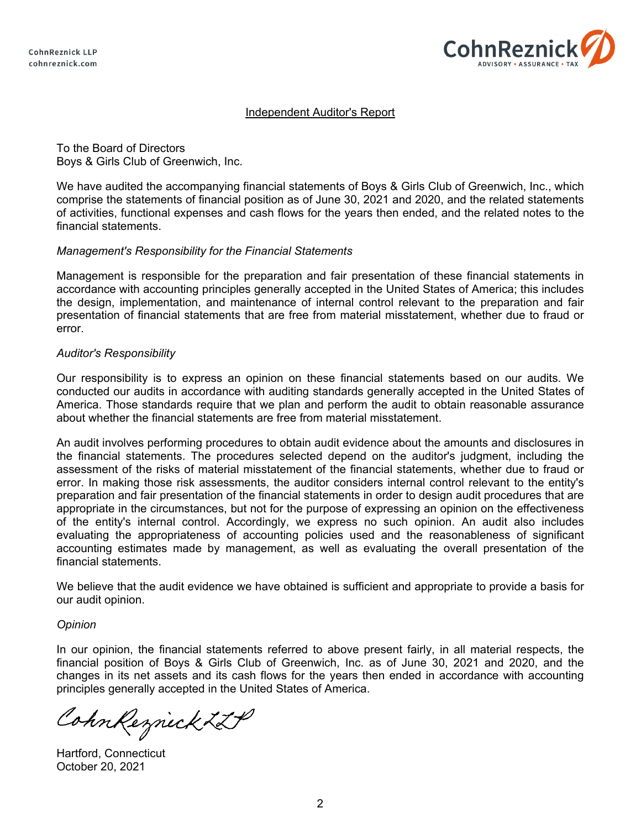

# Independent Auditor's Report

To the Board of Directors Boys & Girls Club of Greenwich, Inc.

We have audited the accompanying financial statements of Boys & Girls Club of Greenwich, Inc., which comprise the statements of financial position as of June 30, 2021 and 2020, and the related statements of activities, functional expenses and cash flows for the years then ended, and the related notes to the financial statements.

# *Management's Responsibility for the Financial Statements*

Management is responsible for the preparation and fair presentation of these financial statements in accordance with accounting principles generally accepted in the United States of America; this includes the design, implementation, and maintenance of internal control relevant to the preparation and fair presentation of financial statements that are free from material misstatement, whether due to fraud or error.

#### *Auditor's Responsibility*

Our responsibility is to express an opinion on these financial statements based on our audits. We conducted our audits in accordance with auditing standards generally accepted in the United States of America. Those standards require that we plan and perform the audit to obtain reasonable assurance about whether the financial statements are free from material misstatement.

An audit involves performing procedures to obtain audit evidence about the amounts and disclosures in the financial statements. The procedures selected depend on the auditor's judgment, including the assessment of the risks of material misstatement of the financial statements, whether due to fraud or error. In making those risk assessments, the auditor considers internal control relevant to the entity's preparation and fair presentation of the financial statements in order to design audit procedures that are appropriate in the circumstances, but not for the purpose of expressing an opinion on the effectiveness of the entity's internal control. Accordingly, we express no such opinion. An audit also includes evaluating the appropriateness of accounting policies used and the reasonableness of significant accounting estimates made by management, as well as evaluating the overall presentation of the financial statements.

We believe that the audit evidence we have obtained is sufficient and appropriate to provide a basis for our audit opinion.

# *Opinion*

In our opinion, the financial statements referred to above present fairly, in all material respects, the financial position of Boys & Girls Club of Greenwich, Inc. as of June 30, 2021 and 2020, and the changes in its net assets and its cash flows for the years then ended in accordance with accounting principles generally accepted in the United States of America.

CohnReznick ZLP

Hartford, Connecticut October 20, 2021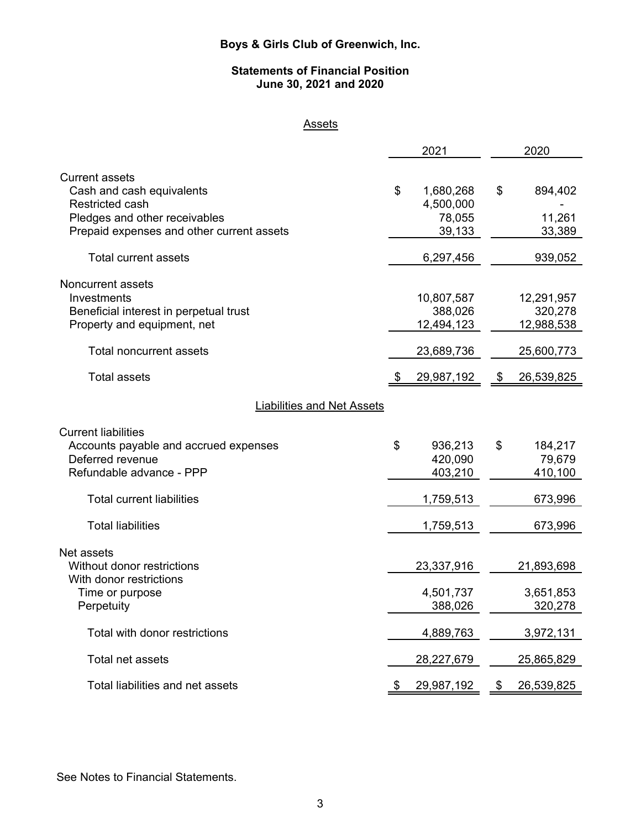# **Statements of Financial Position June 30, 2021 and 2020**

# **Assets**

|                                                    | 2021             | 2020             |
|----------------------------------------------------|------------------|------------------|
|                                                    |                  |                  |
| <b>Current assets</b><br>Cash and cash equivalents | \$<br>1,680,268  | \$<br>894,402    |
| Restricted cash                                    | 4,500,000        |                  |
| Pledges and other receivables                      | 78,055           | 11,261           |
| Prepaid expenses and other current assets          | 39,133           | 33,389           |
| <b>Total current assets</b>                        | 6,297,456        | 939,052          |
| Noncurrent assets                                  |                  |                  |
| Investments                                        | 10,807,587       | 12,291,957       |
| Beneficial interest in perpetual trust             | 388,026          | 320,278          |
| Property and equipment, net                        | 12,494,123       | 12,988,538       |
|                                                    |                  |                  |
| Total noncurrent assets                            | 23,689,736       | 25,600,773       |
| <b>Total assets</b>                                | \$<br>29,987,192 | \$<br>26,539,825 |
| <b>Liabilities and Net Assets</b>                  |                  |                  |
| <b>Current liabilities</b>                         |                  |                  |
| Accounts payable and accrued expenses              | \$<br>936,213    | \$<br>184,217    |
| Deferred revenue                                   | 420,090          | 79,679           |
| Refundable advance - PPP                           | 403,210          | 410,100          |
|                                                    |                  |                  |
| <b>Total current liabilities</b>                   | 1,759,513        | 673,996          |
| <b>Total liabilities</b>                           | 1,759,513        | 673,996          |
| Net assets                                         |                  |                  |
| Without donor restrictions                         | 23,337,916       | 21,893,698       |
| With donor restrictions                            |                  |                  |
| Time or purpose                                    | 4,501,737        | 3,651,853        |
| Perpetuity                                         | 388,026          | 320,278          |
|                                                    |                  |                  |
| Total with donor restrictions                      | 4,889,763        | 3,972,131        |
| Total net assets                                   | 28,227,679       | 25,865,829       |
| Total liabilities and net assets                   | 29,987,192       | \$<br>26,539,825 |

See Notes to Financial Statements.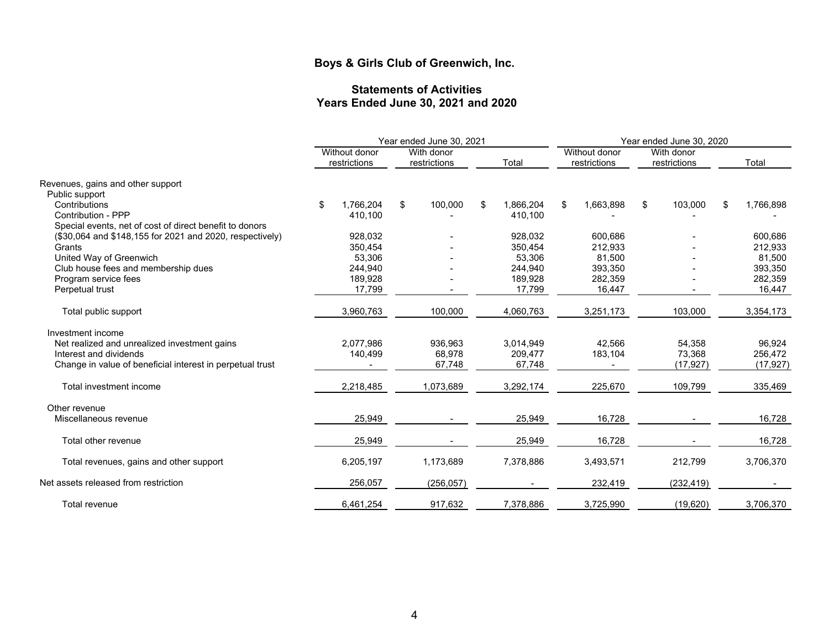#### **Statements of Activities Years Ended June 30, 2021 and 2020**

|                                                           |                               | Year ended June 30, 2021   |                 |                               | Year ended June 30, 2020   |    |           |  |
|-----------------------------------------------------------|-------------------------------|----------------------------|-----------------|-------------------------------|----------------------------|----|-----------|--|
|                                                           | Without donor<br>restrictions | With donor<br>restrictions | Total           | Without donor<br>restrictions | With donor<br>restrictions |    | Total     |  |
| Revenues, gains and other support                         |                               |                            |                 |                               |                            |    |           |  |
| Public support                                            |                               |                            |                 |                               |                            |    |           |  |
| Contributions                                             | \$<br>1,766,204               | \$<br>100,000              | \$<br>1,866,204 | \$<br>1,663,898               | \$<br>103,000              | \$ | 1,766,898 |  |
| Contribution - PPP                                        | 410.100                       |                            | 410,100         |                               |                            |    |           |  |
| Special events, net of cost of direct benefit to donors   |                               |                            |                 |                               |                            |    |           |  |
| (\$30,064 and \$148,155 for 2021 and 2020, respectively)  | 928,032                       |                            | 928,032         | 600,686                       |                            |    | 600,686   |  |
| Grants                                                    | 350,454                       |                            | 350,454         | 212,933                       |                            |    | 212,933   |  |
| United Way of Greenwich                                   | 53.306                        |                            | 53,306          | 81,500                        |                            |    | 81,500    |  |
| Club house fees and membership dues                       | 244,940                       |                            | 244,940         | 393,350                       |                            |    | 393,350   |  |
| Program service fees                                      | 189,928                       |                            | 189,928         | 282,359                       |                            |    | 282,359   |  |
| Perpetual trust                                           | 17,799                        |                            | 17,799          | 16,447                        |                            |    | 16,447    |  |
| Total public support                                      | 3,960,763                     | 100,000                    | 4,060,763       | 3,251,173                     | 103,000                    |    | 3,354,173 |  |
| Investment income                                         |                               |                            |                 |                               |                            |    |           |  |
| Net realized and unrealized investment gains              | 2.077.986                     | 936,963                    | 3,014,949       | 42,566                        | 54,358                     |    | 96,924    |  |
| Interest and dividends                                    | 140,499                       | 68,978                     | 209,477         | 183,104                       | 73,368                     |    | 256,472   |  |
| Change in value of beneficial interest in perpetual trust |                               | 67,748                     | 67,748          |                               | (17, 927)                  |    | (17, 927) |  |
| Total investment income                                   | 2,218,485                     | 1,073,689                  | 3,292,174       | 225,670                       | 109,799                    |    | 335,469   |  |
| Other revenue                                             |                               |                            |                 |                               |                            |    |           |  |
| Miscellaneous revenue                                     | 25,949                        |                            | 25,949          | 16,728                        |                            |    | 16,728    |  |
| Total other revenue                                       | 25,949                        |                            | 25,949          | 16,728                        |                            |    | 16,728    |  |
| Total revenues, gains and other support                   | 6,205,197                     | 1,173,689                  | 7,378,886       | 3,493,571                     | 212,799                    |    | 3,706,370 |  |
| Net assets released from restriction                      | 256,057                       | (256, 057)                 |                 | 232,419                       | (232, 419)                 |    |           |  |
| Total revenue                                             | 6,461,254                     | 917,632                    | 7,378,886       | 3,725,990                     | (19,620)                   |    | 3,706,370 |  |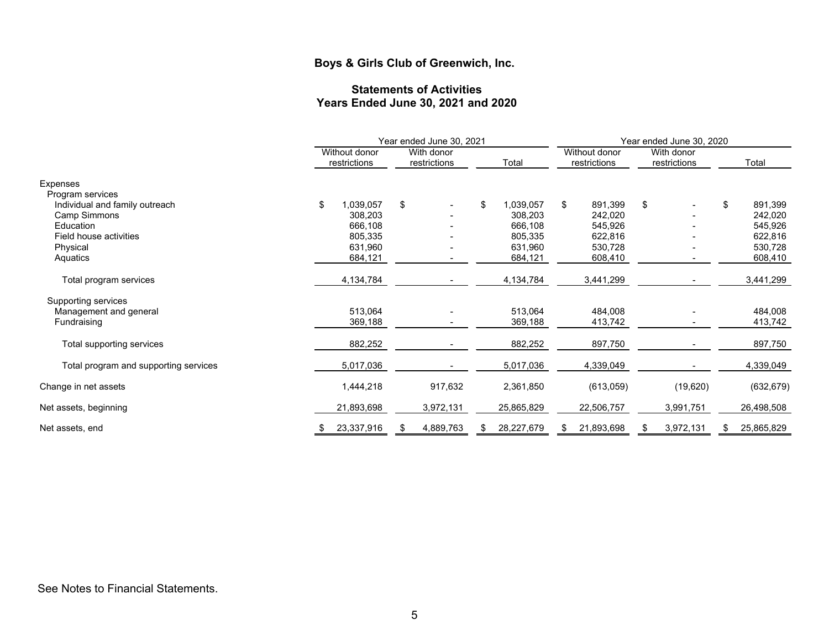#### **Statements of Activities Years Ended June 30, 2021 and 2020**

|                                       |                               | Year ended June 30, 2021   | Year ended June 30, 2020 |                               |                            |                 |  |  |
|---------------------------------------|-------------------------------|----------------------------|--------------------------|-------------------------------|----------------------------|-----------------|--|--|
|                                       | Without donor<br>restrictions | With donor<br>restrictions | Total                    | Without donor<br>restrictions | With donor<br>restrictions | Total           |  |  |
| <b>Expenses</b>                       |                               |                            |                          |                               |                            |                 |  |  |
| Program services                      |                               |                            |                          |                               |                            |                 |  |  |
| Individual and family outreach        | \$<br>1,039,057               | \$                         | \$<br>1,039,057          | \$<br>891,399                 | \$                         | \$<br>891,399   |  |  |
| Camp Simmons                          | 308,203                       |                            | 308,203                  | 242,020                       |                            | 242,020         |  |  |
| Education                             | 666,108                       |                            | 666,108                  | 545,926                       |                            | 545,926         |  |  |
| Field house activities                | 805,335                       |                            | 805,335                  | 622,816                       |                            | 622,816         |  |  |
| Physical                              | 631,960                       |                            | 631,960                  | 530,728                       |                            | 530,728         |  |  |
| Aquatics                              | 684,121                       |                            | 684,121                  | 608,410                       |                            | 608,410         |  |  |
| Total program services                | 4,134,784                     |                            | 4,134,784                | 3,441,299                     |                            | 3,441,299       |  |  |
| Supporting services                   |                               |                            |                          |                               |                            |                 |  |  |
| Management and general                | 513,064                       |                            | 513,064                  | 484,008                       |                            | 484,008         |  |  |
| Fundraising                           | 369,188                       |                            | 369,188                  | 413,742                       |                            | 413,742         |  |  |
|                                       |                               |                            |                          |                               |                            |                 |  |  |
| Total supporting services             | 882,252                       |                            | 882,252                  | 897,750                       |                            | 897,750         |  |  |
| Total program and supporting services | 5,017,036                     |                            | 5,017,036                | 4,339,049                     |                            | 4,339,049       |  |  |
| Change in net assets                  | 1,444,218                     | 917,632                    | 2,361,850                | (613,059)                     | (19,620)                   | (632, 679)      |  |  |
|                                       |                               |                            |                          |                               |                            |                 |  |  |
| Net assets, beginning                 | 21,893,698                    | 3,972,131                  | 25,865,829               | 22,506,757                    | 3,991,751                  | 26,498,508      |  |  |
| Net assets, end                       | 23,337,916                    | 4,889,763<br>\$            | 28,227,679               | 21,893,698<br>S               | 3,972,131                  | 25,865,829<br>S |  |  |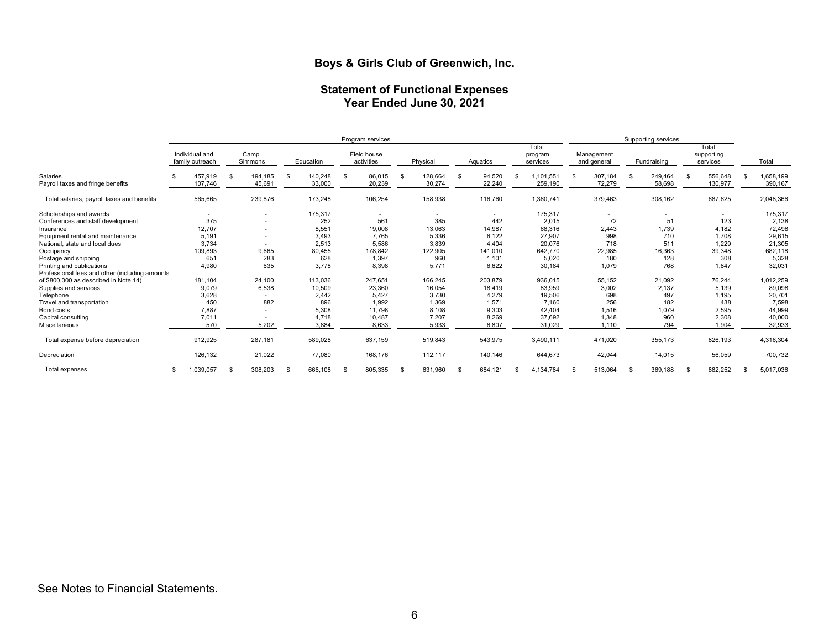#### **Statement of Functional Expenses Year Ended June 30, 2021**

|                                                | Program services                  |    |                   |  |                   | Supporting services |                           |     |                   |          |                  |                              |    |                           |      |                   |    |                                 |                      |
|------------------------------------------------|-----------------------------------|----|-------------------|--|-------------------|---------------------|---------------------------|-----|-------------------|----------|------------------|------------------------------|----|---------------------------|------|-------------------|----|---------------------------------|----------------------|
|                                                | Individual and<br>family outreach |    | Camp<br>Simmons   |  | Education         |                     | Field house<br>activities |     | Physical          |          | Aquatics         | Total<br>program<br>services |    | Management<br>and general |      | Fundraising       |    | Total<br>supporting<br>services | Total                |
| Salaries<br>Payroll taxes and fringe benefits  | 457,919<br>107,746                | \$ | 194,185<br>45,691 |  | 140,248<br>33,000 | -S                  | 86,015<br>20,239          | \$. | 128,664<br>30,274 | <b>S</b> | 94,520<br>22,240 | ,101,551<br>259,190          | \$ | 307,184<br>72,279         | - \$ | 249,464<br>58,698 | \$ | 556,648<br>130,977              | 1,658,199<br>390,167 |
| Total salaries, payroll taxes and benefits     | 565,665                           |    | 239,876           |  | 173,248           |                     | 106,254                   |     | 158,938           |          | 116,760          | 1,360,741                    |    | 379,463                   |      | 308,162           |    | 687,625                         | 2,048,366            |
| Scholarships and awards                        | $\sim$                            |    | ٠                 |  | 175,317           |                     | $\sim$                    |     | $\sim$            |          | $\sim$           | 175,317                      |    | $\sim$                    |      | $\sim$            |    | $\sim$                          | 175,317              |
| Conferences and staff development              | 375                               |    | ٠                 |  | 252               |                     | 561                       |     | 385               |          | 442              | 2,015                        |    | 72                        |      | 51                |    | 123                             | 2,138                |
| Insurance                                      | 12.707                            |    | ۰                 |  | 8,551             |                     | 19,008                    |     | 13,063            |          | 14,987           | 68,316                       |    | 2,443                     |      | 1,739             |    | 4,182                           | 72,498               |
| Equipment rental and maintenance               | 5,191                             |    |                   |  | 3,493             |                     | 7,765                     |     | 5,336             |          | 6,122            | 27,907                       |    | 998                       |      | 710               |    | 1,708                           | 29,615               |
| National, state and local dues                 | 3.734                             |    |                   |  | 2,513             |                     | 5.586                     |     | 3.839             |          | 4.404            | 20.076                       |    | 718                       |      | 511               |    | 1.229                           | 21,305               |
| Occupancy                                      | 109,893                           |    | 9,665             |  | 80,455            |                     | 178,842                   |     | 122,905           |          | 141,010          | 642,770                      |    | 22,985                    |      | 16,363            |    | 39,348                          | 682,118              |
| Postage and shipping                           | 651                               |    | 283               |  | 628               |                     | 1,397                     |     | 960               |          | 1,101            | 5,020                        |    | 180                       |      | 128               |    | 308                             | 5,328                |
| Printing and publications                      | 4,980                             |    | 635               |  | 3,778             |                     | 8,398                     |     | 5,771             |          | 6,622            | 30.184                       |    | 1.079                     |      | 768               |    | 1,847                           | 32,031               |
| Professional fees and other (including amounts |                                   |    |                   |  |                   |                     |                           |     |                   |          |                  |                              |    |                           |      |                   |    |                                 |                      |
| of \$800,000 as described in Note 14)          | 181.104                           |    | 24,100            |  | 113,036           |                     | 247.651                   |     | 166,245           |          | 203,879          | 936.015                      |    | 55,152                    |      | 21,092            |    | 76,244                          | 1,012,259            |
| Supplies and services                          | 9,079                             |    | 6,538             |  | 10,509            |                     | 23,360                    |     | 16,054            |          | 18,419           | 83,959                       |    | 3,002                     |      | 2,137             |    | 5,139                           | 89,098               |
| Telephone                                      | 3,628                             |    |                   |  | 2,442             |                     | 5,427                     |     | 3,730             |          | 4,279            | 19,506                       |    | 698                       |      | 497               |    | 1,195                           | 20,701               |
| Travel and transportation                      | 450                               |    | 882               |  | 896               |                     | 1,992                     |     | 1,369             |          | 1,571            | 7.160                        |    | 256                       |      | 182               |    | 438                             | 7,598                |
| Bond costs                                     | 7,887                             |    | ۰                 |  | 5,308             |                     | 11,798                    |     | 8,108             |          | 9,303            | 42,404                       |    | 1,516                     |      | 1,079             |    | 2,595                           | 44,999               |
| Capital consulting                             | 7,011                             |    |                   |  | 4,718             |                     | 10,487                    |     | 7,207             |          | 8,269            | 37,692                       |    | 1,348                     |      | 960               |    | 2,308                           | 40,000               |
| Miscellaneous                                  | 570                               |    | 5,202             |  | 3,884             |                     | 8,633                     |     | 5,933             |          | 6,807            | 31.029                       |    | 1.110                     |      | 794               |    | 1.904                           | 32,933               |
| Total expense before depreciation              | 912,925                           |    | 287,181           |  | 589,028           |                     | 637,159                   |     | 519,843           |          | 543,975          | 3,490,111                    |    | 471,020                   |      | 355,173           |    | 826,193                         | 4,316,304            |
| Depreciation                                   | 126,132                           |    | 21,022            |  | 77,080            |                     | 168,176                   |     | 112,117           |          | 140,146          | 644,673                      |    | 42,044                    |      | 14,015            |    | 56,059                          | 700,732              |
| Total expenses                                 | ,039,057                          |    | 308,203           |  | 666,108           |                     | 805,335                   |     | 631,960           |          | 684,121          | 4,134,784                    |    | 513,064                   |      | 369,188           |    | 882,252                         | 5,017,036            |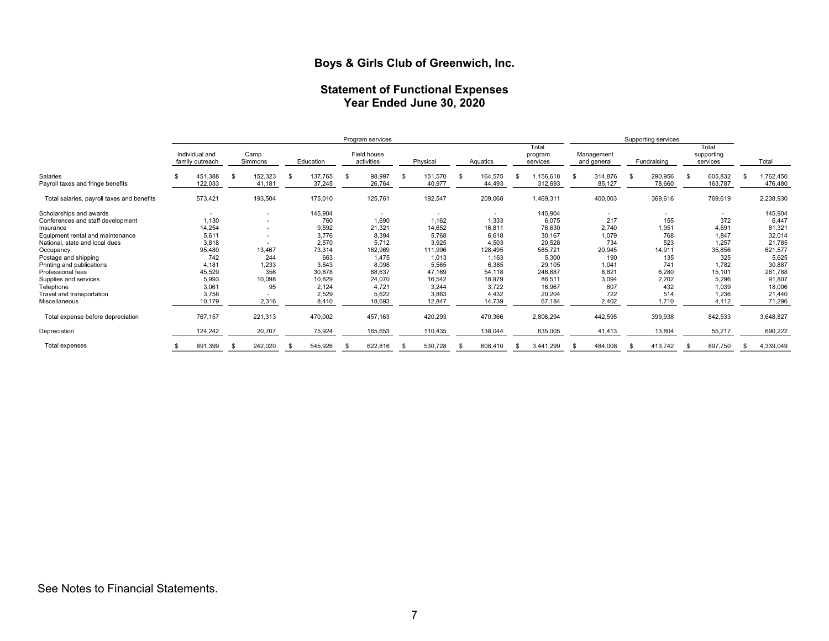#### **Statement of Functional Expenses Year Ended June 30, 2020**

|                                                                                                                                                                                                                                                                                                           | Program services                                                                                 |  |                                                         |     |                                                                                                           |     |                                                                                                                |   | Supporting services                                                                                  |    |                                                                                                      |  |                                                                                                                       |    |                                                                                                  |      |                                                                                         |    |                                                                                               |  |                                                                                                                       |
|-----------------------------------------------------------------------------------------------------------------------------------------------------------------------------------------------------------------------------------------------------------------------------------------------------------|--------------------------------------------------------------------------------------------------|--|---------------------------------------------------------|-----|-----------------------------------------------------------------------------------------------------------|-----|----------------------------------------------------------------------------------------------------------------|---|------------------------------------------------------------------------------------------------------|----|------------------------------------------------------------------------------------------------------|--|-----------------------------------------------------------------------------------------------------------------------|----|--------------------------------------------------------------------------------------------------|------|-----------------------------------------------------------------------------------------|----|-----------------------------------------------------------------------------------------------|--|-----------------------------------------------------------------------------------------------------------------------|
|                                                                                                                                                                                                                                                                                                           | Individual and<br>family outreach                                                                |  | Camp<br>Simmons                                         |     | Education                                                                                                 |     | Field house<br>activities                                                                                      |   | Physical                                                                                             |    | Aquatics                                                                                             |  | Total<br>program<br>services                                                                                          |    | Management<br>and general                                                                        |      | Fundraising                                                                             |    | Total<br>supporting<br>services                                                               |  | Total                                                                                                                 |
| Salaries<br>Payroll taxes and fringe benefits                                                                                                                                                                                                                                                             | 451,388<br>122,033                                                                               |  | 152,323<br>41,181                                       | \$. | 137,765<br>37,245                                                                                         | -\$ | 98,997<br>26,764                                                                                               | S | 151,570<br>40,977                                                                                    | -S | 164,575<br>44,493                                                                                    |  | ,156,618<br>312,693                                                                                                   | -S | 314,876<br>85,127                                                                                | - \$ | 290,956<br>78,660                                                                       | \$ | 605,832<br>163,787                                                                            |  | ,762,450<br>476,480                                                                                                   |
| Total salaries, payroll taxes and benefits                                                                                                                                                                                                                                                                | 573,421                                                                                          |  | 193,504                                                 |     | 175,010                                                                                                   |     | 125,761                                                                                                        |   | 192,547                                                                                              |    | 209,068                                                                                              |  | 1,469,311                                                                                                             |    | 400,003                                                                                          |      | 369,616                                                                                 |    | 769,619                                                                                       |  | 2,238,930                                                                                                             |
| Scholarships and awards<br>Conferences and staff development<br>Insurance<br>Equipment rental and maintenance<br>National, state and local dues<br>Occupancy<br>Postage and shipping<br>Printing and publications<br>Professional fees<br>Supplies and services<br>Telephone<br>Travel and transportation | 1,130<br>14,254<br>5,611<br>3,818<br>95,480<br>742<br>4,181<br>45,529<br>5,993<br>3,061<br>3,758 |  | $\sim$<br>13,467<br>244<br>1,233<br>356<br>10,098<br>95 |     | 145,904<br>760<br>9,592<br>3,776<br>2,570<br>73,314<br>663<br>3,643<br>30,878<br>10,829<br>2,124<br>2,529 |     | $\sim$<br>1,690<br>21,321<br>8,394<br>5,712<br>162,969<br>1,475<br>8,098<br>68,637<br>24,070<br>4,721<br>5,622 |   | 1,162<br>14,652<br>5,768<br>3,925<br>111,996<br>1,013<br>5,565<br>47,169<br>16,542<br>3,244<br>3,863 |    | 1,333<br>16,811<br>6,618<br>4,503<br>128,495<br>1,163<br>6,385<br>54,118<br>18,979<br>3,722<br>4,432 |  | 145,904<br>6,075<br>76,630<br>30,167<br>20,528<br>585,721<br>5,300<br>29,105<br>246,687<br>86,511<br>16,967<br>20,204 |    | $\sim$<br>217<br>2,740<br>1,079<br>734<br>20,945<br>190<br>1,041<br>8,821<br>3,094<br>607<br>722 |      | ۰<br>155<br>1,951<br>768<br>523<br>14,911<br>135<br>741<br>6,280<br>2,202<br>432<br>514 |    | 372<br>4,691<br>1,847<br>1,257<br>35,856<br>325<br>1,782<br>15,101<br>5,296<br>1,039<br>1,236 |  | 145,904<br>6,447<br>81,321<br>32,014<br>21,785<br>621,577<br>5,625<br>30,887<br>261,788<br>91,807<br>18,006<br>21,440 |
| Miscellaneous                                                                                                                                                                                                                                                                                             | 10,179                                                                                           |  | 2,316                                                   |     | 8,410                                                                                                     |     | 18,693                                                                                                         |   | 12,847                                                                                               |    | 14,739                                                                                               |  | 67,184                                                                                                                |    | 2,402                                                                                            |      | 1,710                                                                                   |    | 4,112                                                                                         |  | 71,296                                                                                                                |
| Total expense before depreciation                                                                                                                                                                                                                                                                         | 767,157                                                                                          |  | 221,313                                                 |     | 470,002                                                                                                   |     | 457,163                                                                                                        |   | 420,293                                                                                              |    | 470,366                                                                                              |  | 2,806,294                                                                                                             |    | 442,595                                                                                          |      | 399,938                                                                                 |    | 842,533                                                                                       |  | 3,648,827                                                                                                             |
| Depreciation                                                                                                                                                                                                                                                                                              | 124,242                                                                                          |  | 20,707                                                  |     | 75,924                                                                                                    |     | 165,653                                                                                                        |   | 110,435                                                                                              |    | 138,044                                                                                              |  | 635,005                                                                                                               |    | 41,413                                                                                           |      | 13,804                                                                                  |    | 55,217                                                                                        |  | 690,222                                                                                                               |
| Total expenses                                                                                                                                                                                                                                                                                            | 891,399                                                                                          |  | 242,020                                                 |     | 545,926                                                                                                   |     | 622,816                                                                                                        |   | 530,728                                                                                              |    | 608,410                                                                                              |  | 3,441,299                                                                                                             |    | 484,008                                                                                          | - \$ | 413,742                                                                                 |    | 897,750                                                                                       |  | 4,339,049                                                                                                             |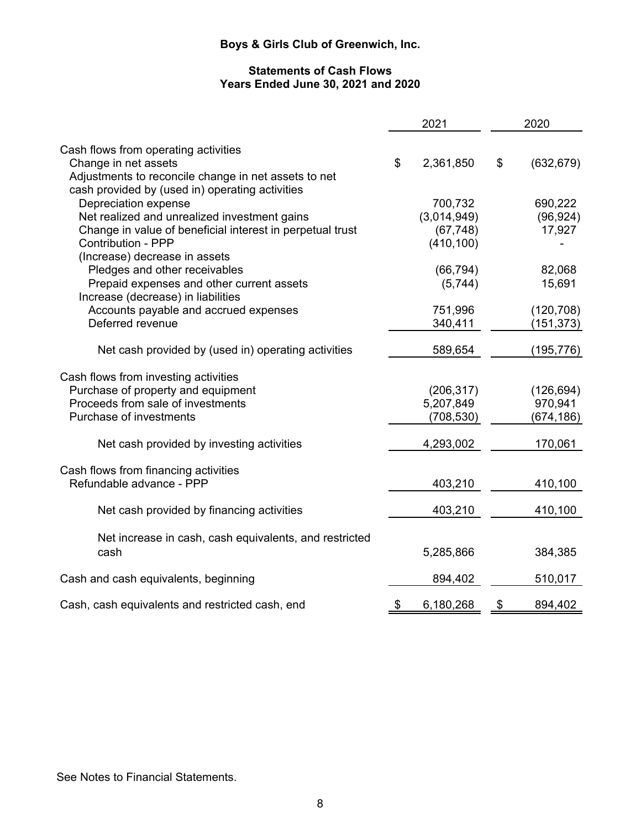# **Statements of Cash Flows Years Ended June 30, 2021 and 2020**

|                                                           | 2021            | 2020             |
|-----------------------------------------------------------|-----------------|------------------|
| Cash flows from operating activities                      |                 |                  |
| Change in net assets                                      | \$<br>2,361,850 | \$<br>(632, 679) |
| Adjustments to reconcile change in net assets to net      |                 |                  |
| cash provided by (used in) operating activities           |                 |                  |
| Depreciation expense                                      | 700,732         | 690,222          |
| Net realized and unrealized investment gains              | (3,014,949)     | (96, 924)        |
| Change in value of beneficial interest in perpetual trust | (67, 748)       | 17,927           |
| <b>Contribution - PPP</b>                                 | (410, 100)      |                  |
| (Increase) decrease in assets                             |                 |                  |
| Pledges and other receivables                             | (66, 794)       | 82,068           |
| Prepaid expenses and other current assets                 | (5,744)         | 15,691           |
| Increase (decrease) in liabilities                        |                 |                  |
| Accounts payable and accrued expenses                     | 751,996         | (120, 708)       |
| Deferred revenue                                          | 340,411         | (151, 373)       |
|                                                           |                 |                  |
| Net cash provided by (used in) operating activities       | 589,654         | (195, 776)       |
| Cash flows from investing activities                      |                 |                  |
| Purchase of property and equipment                        | (206, 317)      | (126, 694)       |
| Proceeds from sale of investments                         | 5,207,849       | 970,941          |
| Purchase of investments                                   | (708,530)       | (674,186)        |
|                                                           |                 |                  |
| Net cash provided by investing activities                 | 4,293,002       | 170,061          |
| Cash flows from financing activities                      |                 |                  |
| Refundable advance - PPP                                  | 403,210         | 410,100          |
| Net cash provided by financing activities                 | 403,210         | 410,100          |
|                                                           |                 |                  |
| Net increase in cash, cash equivalents, and restricted    |                 |                  |
| cash                                                      | 5,285,866       | 384,385          |
| Cash and cash equivalents, beginning                      | 894,402         | 510,017          |
|                                                           |                 |                  |
| Cash, cash equivalents and restricted cash, end           | \$<br>6,180,268 | \$<br>894,402    |

See Notes to Financial Statements.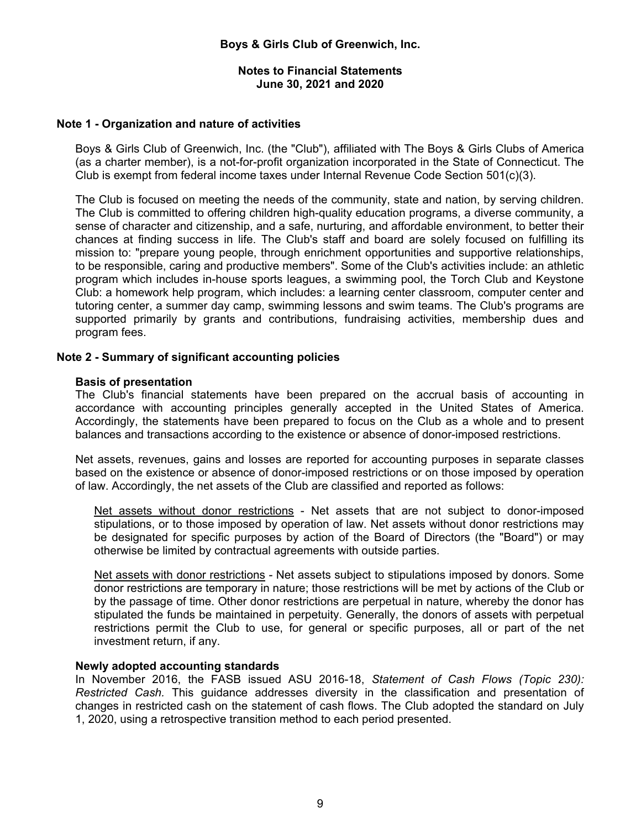#### **Notes to Financial Statements June 30, 2021 and 2020**

### **Note 1 - Organization and nature of activities**

Boys & Girls Club of Greenwich, Inc. (the "Club"), affiliated with The Boys & Girls Clubs of America (as a charter member), is a not-for-profit organization incorporated in the State of Connecticut. The Club is exempt from federal income taxes under Internal Revenue Code Section  $501(c)(3)$ .

The Club is focused on meeting the needs of the community, state and nation, by serving children. The Club is committed to offering children high-quality education programs, a diverse community, a sense of character and citizenship, and a safe, nurturing, and affordable environment, to better their chances at finding success in life. The Club's staff and board are solely focused on fulfilling its mission to: "prepare young people, through enrichment opportunities and supportive relationships, to be responsible, caring and productive members". Some of the Club's activities include: an athletic program which includes in-house sports leagues, a swimming pool, the Torch Club and Keystone Club: a homework help program, which includes: a learning center classroom, computer center and tutoring center, a summer day camp, swimming lessons and swim teams. The Club's programs are supported primarily by grants and contributions, fundraising activities, membership dues and program fees.

# **Note 2 - Summary of significant accounting policies**

#### **Basis of presentation**

The Club's financial statements have been prepared on the accrual basis of accounting in accordance with accounting principles generally accepted in the United States of America. Accordingly, the statements have been prepared to focus on the Club as a whole and to present balances and transactions according to the existence or absence of donor-imposed restrictions.

Net assets, revenues, gains and losses are reported for accounting purposes in separate classes based on the existence or absence of donor-imposed restrictions or on those imposed by operation of law. Accordingly, the net assets of the Club are classified and reported as follows:

Net assets without donor restrictions - Net assets that are not subject to donor-imposed stipulations, or to those imposed by operation of law. Net assets without donor restrictions may be designated for specific purposes by action of the Board of Directors (the "Board") or may otherwise be limited by contractual agreements with outside parties.

Net assets with donor restrictions - Net assets subject to stipulations imposed by donors. Some donor restrictions are temporary in nature; those restrictions will be met by actions of the Club or by the passage of time. Other donor restrictions are perpetual in nature, whereby the donor has stipulated the funds be maintained in perpetuity. Generally, the donors of assets with perpetual restrictions permit the Club to use, for general or specific purposes, all or part of the net investment return, if any.

#### **Newly adopted accounting standards**

In November 2016, the FASB issued ASU 2016-18, *Statement of Cash Flows (Topic 230): Restricted Cash.* This guidance addresses diversity in the classification and presentation of changes in restricted cash on the statement of cash flows. The Club adopted the standard on July 1, 2020, using a retrospective transition method to each period presented.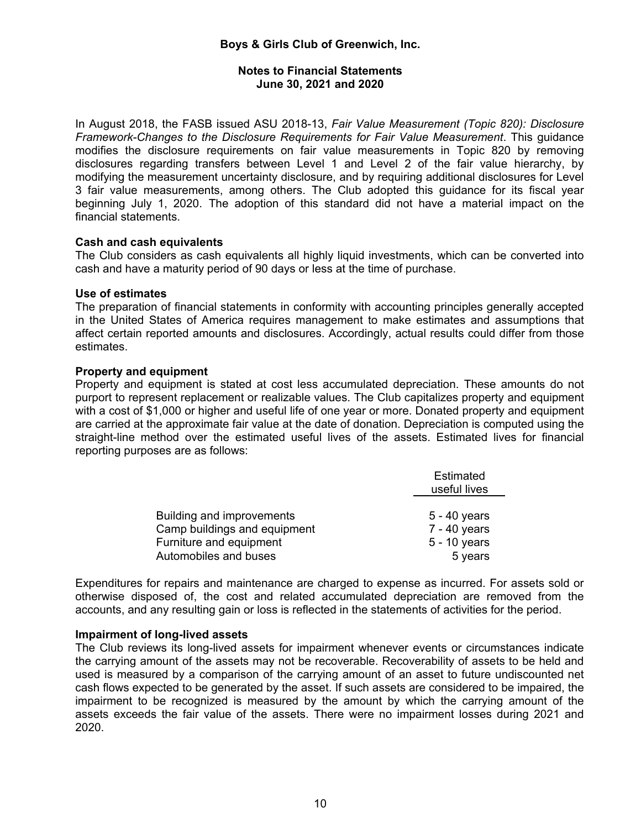# **Notes to Financial Statements June 30, 2021 and 2020**

In August 2018, the FASB issued ASU 2018-13, *Fair Value Measurement (Topic 820): Disclosure Framework-Changes to the Disclosure Requirements for Fair Value Measurement*. This guidance modifies the disclosure requirements on fair value measurements in Topic 820 by removing disclosures regarding transfers between Level 1 and Level 2 of the fair value hierarchy, by modifying the measurement uncertainty disclosure, and by requiring additional disclosures for Level 3 fair value measurements, among others. The Club adopted this guidance for its fiscal year beginning July 1, 2020. The adoption of this standard did not have a material impact on the financial statements.

# **Cash and cash equivalents**

The Club considers as cash equivalents all highly liquid investments, which can be converted into cash and have a maturity period of 90 days or less at the time of purchase.

#### **Use of estimates**

The preparation of financial statements in conformity with accounting principles generally accepted in the United States of America requires management to make estimates and assumptions that affect certain reported amounts and disclosures. Accordingly, actual results could differ from those estimates.

# **Property and equipment**

Property and equipment is stated at cost less accumulated depreciation. These amounts do not purport to represent replacement or realizable values. The Club capitalizes property and equipment with a cost of \$1,000 or higher and useful life of one year or more. Donated property and equipment are carried at the approximate fair value at the date of donation. Depreciation is computed using the straight-line method over the estimated useful lives of the assets. Estimated lives for financial reporting purposes are as follows:

|                              | Estimated<br>useful lives |
|------------------------------|---------------------------|
|                              |                           |
| Building and improvements    | $5 - 40$ years            |
| Camp buildings and equipment | $7 - 40$ years            |
| Furniture and equipment      | 5 - 10 years              |
| Automobiles and buses        | 5 years                   |

Expenditures for repairs and maintenance are charged to expense as incurred. For assets sold or otherwise disposed of, the cost and related accumulated depreciation are removed from the accounts, and any resulting gain or loss is reflected in the statements of activities for the period.

#### **Impairment of long-lived assets**

The Club reviews its long-lived assets for impairment whenever events or circumstances indicate the carrying amount of the assets may not be recoverable. Recoverability of assets to be held and used is measured by a comparison of the carrying amount of an asset to future undiscounted net cash flows expected to be generated by the asset. If such assets are considered to be impaired, the impairment to be recognized is measured by the amount by which the carrying amount of the assets exceeds the fair value of the assets. There were no impairment losses during 2021 and 2020.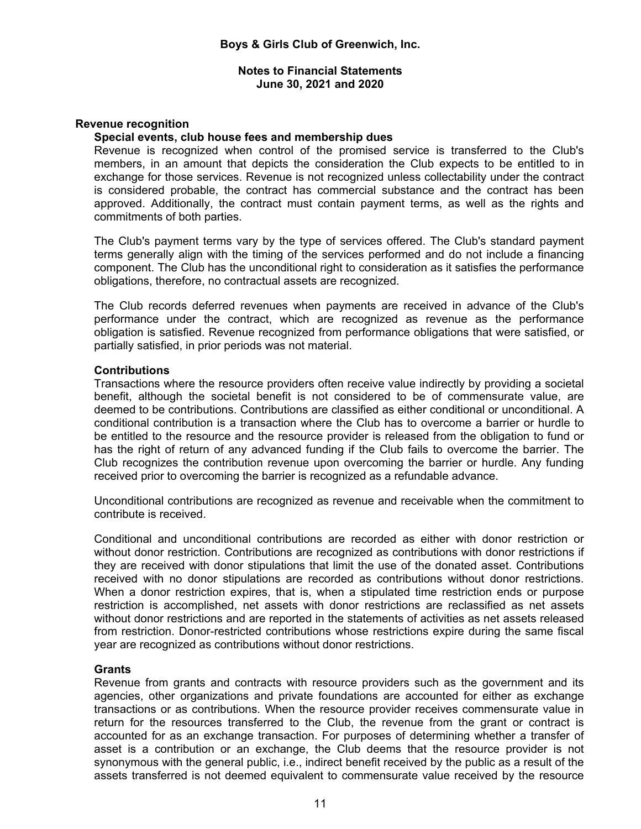# **Revenue recognition**

#### **Special events, club house fees and membership dues**

Revenue is recognized when control of the promised service is transferred to the Club's members, in an amount that depicts the consideration the Club expects to be entitled to in exchange for those services. Revenue is not recognized unless collectability under the contract is considered probable, the contract has commercial substance and the contract has been approved. Additionally, the contract must contain payment terms, as well as the rights and commitments of both parties.

The Club's payment terms vary by the type of services offered. The Club's standard payment terms generally align with the timing of the services performed and do not include a financing component. The Club has the unconditional right to consideration as it satisfies the performance obligations, therefore, no contractual assets are recognized.

The Club records deferred revenues when payments are received in advance of the Club's performance under the contract, which are recognized as revenue as the performance obligation is satisfied. Revenue recognized from performance obligations that were satisfied, or partially satisfied, in prior periods was not material.

#### **Contributions**

Transactions where the resource providers often receive value indirectly by providing a societal benefit, although the societal benefit is not considered to be of commensurate value, are deemed to be contributions. Contributions are classified as either conditional or unconditional. A conditional contribution is a transaction where the Club has to overcome a barrier or hurdle to be entitled to the resource and the resource provider is released from the obligation to fund or has the right of return of any advanced funding if the Club fails to overcome the barrier. The Club recognizes the contribution revenue upon overcoming the barrier or hurdle. Any funding received prior to overcoming the barrier is recognized as a refundable advance.

Unconditional contributions are recognized as revenue and receivable when the commitment to contribute is received.

Conditional and unconditional contributions are recorded as either with donor restriction or without donor restriction. Contributions are recognized as contributions with donor restrictions if they are received with donor stipulations that limit the use of the donated asset. Contributions received with no donor stipulations are recorded as contributions without donor restrictions. When a donor restriction expires, that is, when a stipulated time restriction ends or purpose restriction is accomplished, net assets with donor restrictions are reclassified as net assets without donor restrictions and are reported in the statements of activities as net assets released from restriction. Donor-restricted contributions whose restrictions expire during the same fiscal year are recognized as contributions without donor restrictions.

#### **Grants**

Revenue from grants and contracts with resource providers such as the government and its agencies, other organizations and private foundations are accounted for either as exchange transactions or as contributions. When the resource provider receives commensurate value in return for the resources transferred to the Club, the revenue from the grant or contract is accounted for as an exchange transaction. For purposes of determining whether a transfer of asset is a contribution or an exchange, the Club deems that the resource provider is not synonymous with the general public, i.e., indirect benefit received by the public as a result of the assets transferred is not deemed equivalent to commensurate value received by the resource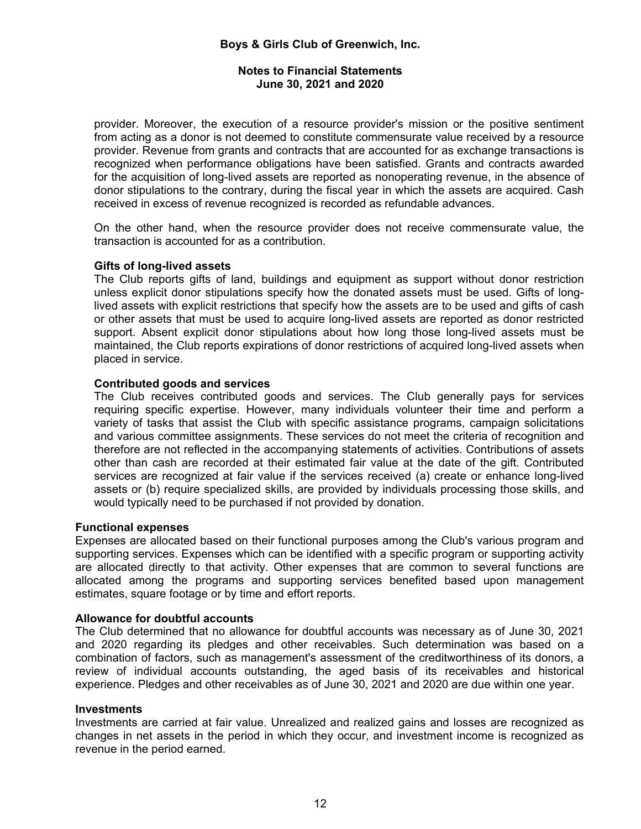# **Notes to Financial Statements June 30, 2021 and 2020**

provider. Moreover, the execution of a resource provider's mission or the positive sentiment from acting as a donor is not deemed to constitute commensurate value received by a resource provider. Revenue from grants and contracts that are accounted for as exchange transactions is recognized when performance obligations have been satisfied. Grants and contracts awarded for the acquisition of long-lived assets are reported as nonoperating revenue, in the absence of donor stipulations to the contrary, during the fiscal year in which the assets are acquired. Cash received in excess of revenue recognized is recorded as refundable advances.

On the other hand, when the resource provider does not receive commensurate value, the transaction is accounted for as a contribution.

# **Gifts of long-lived assets**

The Club reports gifts of land, buildings and equipment as support without donor restriction unless explicit donor stipulations specify how the donated assets must be used. Gifts of longlived assets with explicit restrictions that specify how the assets are to be used and gifts of cash or other assets that must be used to acquire long-lived assets are reported as donor restricted support. Absent explicit donor stipulations about how long those long-lived assets must be maintained, the Club reports expirations of donor restrictions of acquired long-lived assets when placed in service.

# **Contributed goods and services**

The Club receives contributed goods and services. The Club generally pays for services requiring specific expertise. However, many individuals volunteer their time and perform a variety of tasks that assist the Club with specific assistance programs, campaign solicitations and various committee assignments. These services do not meet the criteria of recognition and therefore are not reflected in the accompanying statements of activities. Contributions of assets other than cash are recorded at their estimated fair value at the date of the gift. Contributed services are recognized at fair value if the services received (a) create or enhance long-lived assets or (b) require specialized skills, are provided by individuals processing those skills, and would typically need to be purchased if not provided by donation.

#### **Functional expenses**

Expenses are allocated based on their functional purposes among the Club's various program and supporting services. Expenses which can be identified with a specific program or supporting activity are allocated directly to that activity. Other expenses that are common to several functions are allocated among the programs and supporting services benefited based upon management estimates, square footage or by time and effort reports.

#### **Allowance for doubtful accounts**

The Club determined that no allowance for doubtful accounts was necessary as of June 30, 2021 and 2020 regarding its pledges and other receivables. Such determination was based on a combination of factors, such as management's assessment of the creditworthiness of its donors, a review of individual accounts outstanding, the aged basis of its receivables and historical experience. Pledges and other receivables as of June 30, 2021 and 2020 are due within one year.

#### **Investments**

Investments are carried at fair value. Unrealized and realized gains and losses are recognized as changes in net assets in the period in which they occur, and investment income is recognized as revenue in the period earned.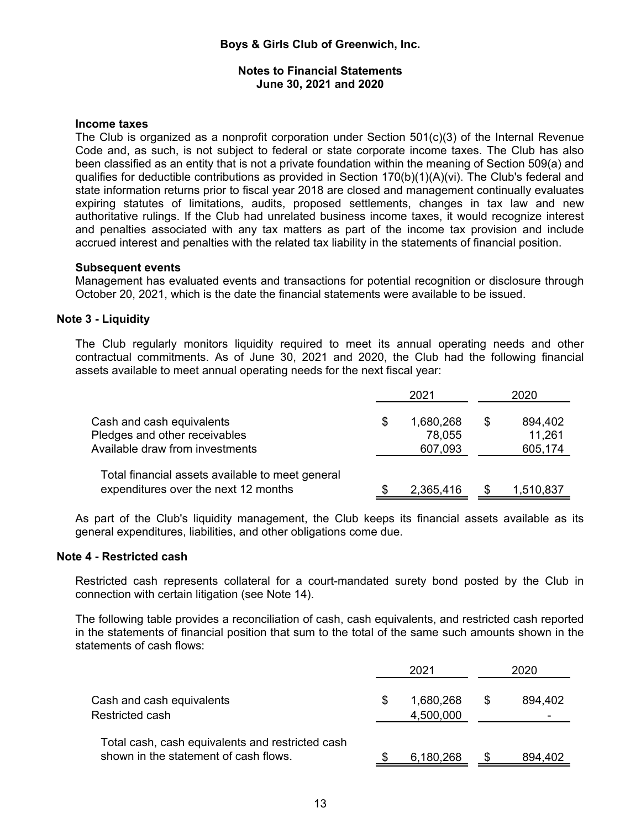### **Income taxes**

The Club is organized as a nonprofit corporation under Section 501(c)(3) of the Internal Revenue Code and, as such, is not subject to federal or state corporate income taxes. The Club has also been classified as an entity that is not a private foundation within the meaning of Section 509(a) and qualifies for deductible contributions as provided in Section 170(b)(1)(A)(vi). The Club's federal and state information returns prior to fiscal year 2018 are closed and management continually evaluates expiring statutes of limitations, audits, proposed settlements, changes in tax law and new authoritative rulings. If the Club had unrelated business income taxes, it would recognize interest and penalties associated with any tax matters as part of the income tax provision and include accrued interest and penalties with the related tax liability in the statements of financial position.

# **Subsequent events**

Management has evaluated events and transactions for potential recognition or disclosure through October 20, 2021, which is the date the financial statements were available to be issued.

# **Note 3 - Liquidity**

The Club regularly monitors liquidity required to meet its annual operating needs and other contractual commitments. As of June 30, 2021 and 2020, the Club had the following financial assets available to meet annual operating needs for the next fiscal year:

|                                                                                               | 2021                                 | 2020                               |
|-----------------------------------------------------------------------------------------------|--------------------------------------|------------------------------------|
| Cash and cash equivalents<br>Pledges and other receivables<br>Available draw from investments | \$<br>1,680,268<br>78,055<br>607,093 | \$<br>894,402<br>11,261<br>605,174 |
| Total financial assets available to meet general<br>expenditures over the next 12 months      | 2,365,416                            | 1,510,837                          |

As part of the Club's liquidity management, the Club keeps its financial assets available as its general expenditures, liabilities, and other obligations come due.

# **Note 4 - Restricted cash**

Restricted cash represents collateral for a court-mandated surety bond posted by the Club in connection with certain litigation (see Note 14).

The following table provides a reconciliation of cash, cash equivalents, and restricted cash reported in the statements of financial position that sum to the total of the same such amounts shown in the statements of cash flows:

|                                                                                           | 2021                   |   | 2020    |
|-------------------------------------------------------------------------------------------|------------------------|---|---------|
| Cash and cash equivalents<br>Restricted cash                                              | 1,680,268<br>4,500,000 | S | 894,402 |
| Total cash, cash equivalents and restricted cash<br>shown in the statement of cash flows. | 6,180,268              |   | 894,402 |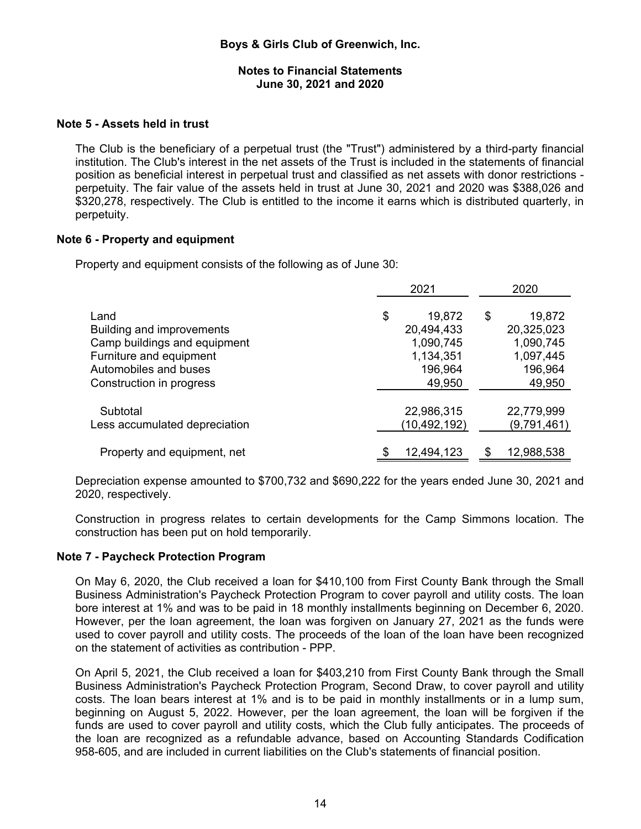# **Note 5 - Assets held in trust**

The Club is the beneficiary of a perpetual trust (the "Trust") administered by a third-party financial institution. The Club's interest in the net assets of the Trust is included in the statements of financial position as beneficial interest in perpetual trust and classified as net assets with donor restrictions perpetuity. The fair value of the assets held in trust at June 30, 2021 and 2020 was \$388,026 and \$320,278, respectively. The Club is entitled to the income it earns which is distributed quarterly, in perpetuity.

# **Note 6 - Property and equipment**

Property and equipment consists of the following as of June 30:

|                               | 2021           | 2020         |
|-------------------------------|----------------|--------------|
| Land                          | \$<br>19,872   | \$<br>19,872 |
| Building and improvements     | 20,494,433     | 20,325,023   |
| Camp buildings and equipment  | 1,090,745      | 1,090,745    |
| Furniture and equipment       | 1,134,351      | 1,097,445    |
| Automobiles and buses         | 196,964        | 196,964      |
| Construction in progress      | 49,950         | 49,950       |
| Subtotal                      | 22,986,315     | 22,779,999   |
| Less accumulated depreciation | (10, 492, 192) | (9,791,461)  |
| Property and equipment, net   | 12,494,123     | 12,988,538   |

Depreciation expense amounted to \$700,732 and \$690,222 for the years ended June 30, 2021 and 2020, respectively.

Construction in progress relates to certain developments for the Camp Simmons location. The construction has been put on hold temporarily.

#### **Note 7 - Paycheck Protection Program**

On May 6, 2020, the Club received a loan for \$410,100 from First County Bank through the Small Business Administration's Paycheck Protection Program to cover payroll and utility costs. The loan bore interest at 1% and was to be paid in 18 monthly installments beginning on December 6, 2020. However, per the loan agreement, the loan was forgiven on January 27, 2021 as the funds were used to cover payroll and utility costs. The proceeds of the loan of the loan have been recognized on the statement of activities as contribution - PPP.

On April 5, 2021, the Club received a loan for \$403,210 from First County Bank through the Small Business Administration's Paycheck Protection Program, Second Draw, to cover payroll and utility costs. The loan bears interest at 1% and is to be paid in monthly installments or in a lump sum, beginning on August 5, 2022. However, per the loan agreement, the loan will be forgiven if the funds are used to cover payroll and utility costs, which the Club fully anticipates. The proceeds of the loan are recognized as a refundable advance, based on Accounting Standards Codification 958-605, and are included in current liabilities on the Club's statements of financial position.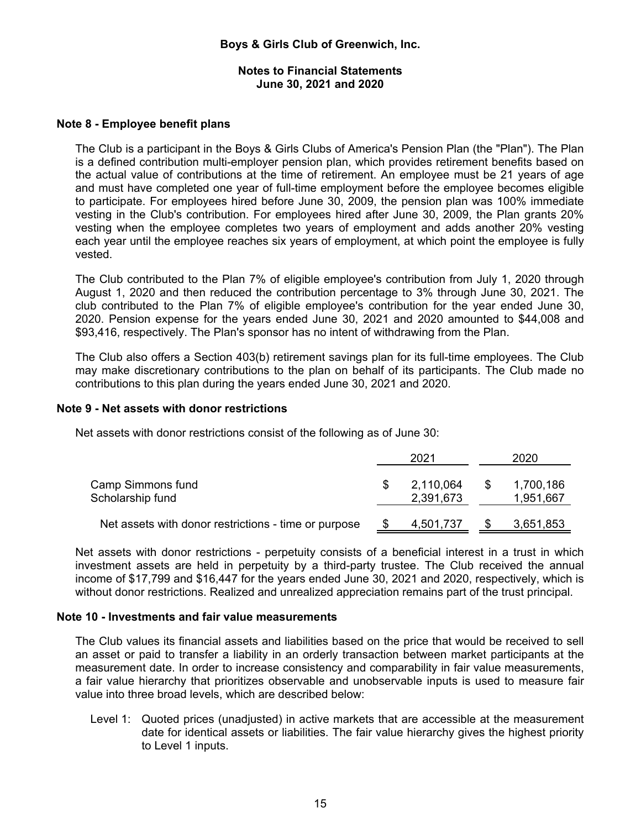#### **Notes to Financial Statements June 30, 2021 and 2020**

# **Note 8 - Employee benefit plans**

The Club is a participant in the Boys & Girls Clubs of America's Pension Plan (the "Plan"). The Plan is a defined contribution multi-employer pension plan, which provides retirement benefits based on the actual value of contributions at the time of retirement. An employee must be 21 years of age and must have completed one year of full-time employment before the employee becomes eligible to participate. For employees hired before June 30, 2009, the pension plan was 100% immediate vesting in the Club's contribution. For employees hired after June 30, 2009, the Plan grants 20% vesting when the employee completes two years of employment and adds another 20% vesting each year until the employee reaches six years of employment, at which point the employee is fully vested.

The Club contributed to the Plan 7% of eligible employee's contribution from July 1, 2020 through August 1, 2020 and then reduced the contribution percentage to 3% through June 30, 2021. The club contributed to the Plan 7% of eligible employee's contribution for the year ended June 30, 2020. Pension expense for the years ended June 30, 2021 and 2020 amounted to \$44,008 and \$93,416, respectively. The Plan's sponsor has no intent of withdrawing from the Plan.

The Club also offers a Section 403(b) retirement savings plan for its full-time employees. The Club may make discretionary contributions to the plan on behalf of its participants. The Club made no contributions to this plan during the years ended June 30, 2021 and 2020.

# **Note 9 - Net assets with donor restrictions**

Net assets with donor restrictions consist of the following as of June 30:

|                                                      | 2021                   |    | 2020                   |
|------------------------------------------------------|------------------------|----|------------------------|
| Camp Simmons fund<br>Scholarship fund                | 2,110,064<br>2,391,673 | -S | 1,700,186<br>1,951,667 |
| Net assets with donor restrictions - time or purpose | 4,501,737              |    | 3,651,853              |

Net assets with donor restrictions - perpetuity consists of a beneficial interest in a trust in which investment assets are held in perpetuity by a third-party trustee. The Club received the annual income of \$17,799 and \$16,447 for the years ended June 30, 2021 and 2020, respectively, which is without donor restrictions. Realized and unrealized appreciation remains part of the trust principal.

#### **Note 10 - Investments and fair value measurements**

The Club values its financial assets and liabilities based on the price that would be received to sell an asset or paid to transfer a liability in an orderly transaction between market participants at the measurement date. In order to increase consistency and comparability in fair value measurements, a fair value hierarchy that prioritizes observable and unobservable inputs is used to measure fair value into three broad levels, which are described below:

Level 1: Quoted prices (unadjusted) in active markets that are accessible at the measurement date for identical assets or liabilities. The fair value hierarchy gives the highest priority to Level 1 inputs.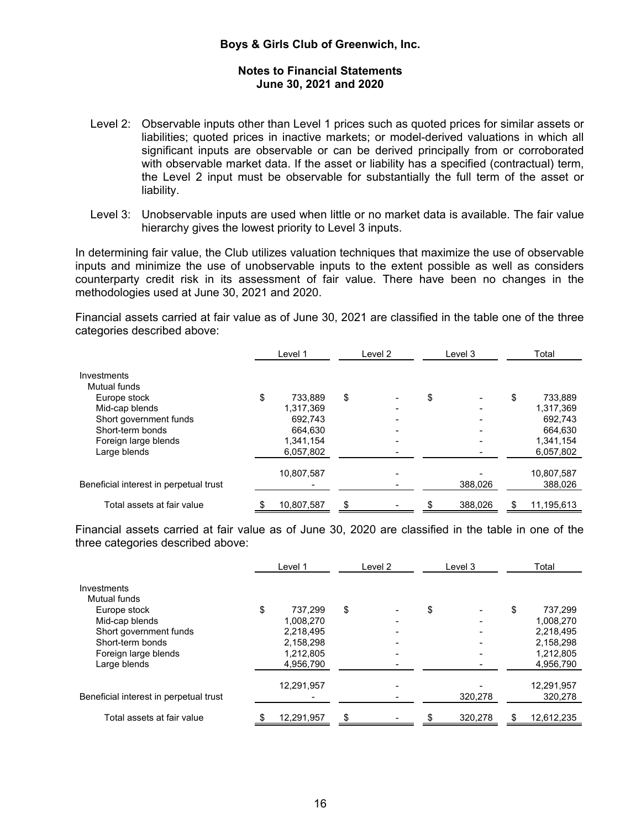- Level 2: Observable inputs other than Level 1 prices such as quoted prices for similar assets or liabilities; quoted prices in inactive markets; or model-derived valuations in which all significant inputs are observable or can be derived principally from or corroborated with observable market data. If the asset or liability has a specified (contractual) term, the Level 2 input must be observable for substantially the full term of the asset or liability.
- Level 3: Unobservable inputs are used when little or no market data is available. The fair value hierarchy gives the lowest priority to Level 3 inputs.

In determining fair value, the Club utilizes valuation techniques that maximize the use of observable inputs and minimize the use of unobservable inputs to the extent possible as well as considers counterparty credit risk in its assessment of fair value. There have been no changes in the methodologies used at June 30, 2021 and 2020.

Financial assets carried at fair value as of June 30, 2021 are classified in the table one of the three categories described above:

|                                        | Level 1       |    | Level 2 |    | Level 3 | Total            |
|----------------------------------------|---------------|----|---------|----|---------|------------------|
| Investments                            |               |    |         |    |         |                  |
| Mutual funds                           |               |    |         |    |         |                  |
| Europe stock                           | \$<br>733.889 | \$ |         | \$ |         | \$<br>733,889    |
| Mid-cap blends                         | 1.317.369     |    |         |    |         | 1,317,369        |
| Short government funds                 | 692.743       |    |         |    |         | 692.743          |
| Short-term bonds                       | 664.630       |    |         |    |         | 664.630          |
| Foreign large blends                   | 1,341,154     |    |         |    |         | 1,341,154        |
| Large blends                           | 6,057,802     |    |         |    |         | 6,057,802        |
|                                        | 10,807,587    |    |         |    |         | 10,807,587       |
| Beneficial interest in perpetual trust |               |    |         |    | 388,026 | 388,026          |
| Total assets at fair value             | 10,807,587    | S  |         | S  | 388,026 | \$<br>11,195,613 |

Financial assets carried at fair value as of June 30, 2020 are classified in the table in one of the three categories described above:

|                                        | Level 1    | Level 2 | Level 3 | Total            |
|----------------------------------------|------------|---------|---------|------------------|
| Investments                            |            |         |         |                  |
| Mutual funds                           |            |         |         |                  |
| Europe stock                           | 737.299    | \$      | \$      | \$<br>737.299    |
| Mid-cap blends                         | 1.008.270  |         |         | 1,008,270        |
| Short government funds                 | 2,218,495  |         |         | 2,218,495        |
| Short-term bonds                       | 2,158,298  |         |         | 2,158,298        |
| Foreign large blends                   | 1,212,805  |         |         | 1,212,805        |
| Large blends                           | 4,956,790  |         |         | 4,956,790        |
|                                        | 12,291,957 |         |         | 12,291,957       |
|                                        |            |         |         |                  |
| Beneficial interest in perpetual trust |            |         | 320,278 | 320,278          |
| Total assets at fair value             | 12,291,957 | \$      | 320,278 | \$<br>12,612,235 |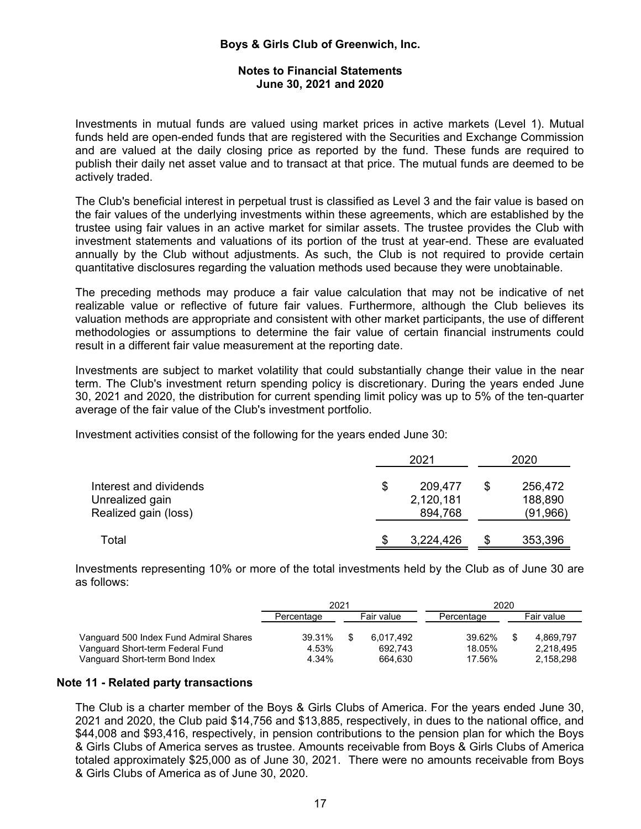# **Notes to Financial Statements June 30, 2021 and 2020**

Investments in mutual funds are valued using market prices in active markets (Level 1). Mutual funds held are open-ended funds that are registered with the Securities and Exchange Commission and are valued at the daily closing price as reported by the fund. These funds are required to publish their daily net asset value and to transact at that price. The mutual funds are deemed to be actively traded.

The Club's beneficial interest in perpetual trust is classified as Level 3 and the fair value is based on the fair values of the underlying investments within these agreements, which are established by the trustee using fair values in an active market for similar assets. The trustee provides the Club with investment statements and valuations of its portion of the trust at year-end. These are evaluated annually by the Club without adjustments. As such, the Club is not required to provide certain quantitative disclosures regarding the valuation methods used because they were unobtainable.

The preceding methods may produce a fair value calculation that may not be indicative of net realizable value or reflective of future fair values. Furthermore, although the Club believes its valuation methods are appropriate and consistent with other market participants, the use of different methodologies or assumptions to determine the fair value of certain financial instruments could result in a different fair value measurement at the reporting date.

Investments are subject to market volatility that could substantially change their value in the near term. The Club's investment return spending policy is discretionary. During the years ended June 30, 2021 and 2020, the distribution for current spending limit policy was up to 5% of the ten-quarter average of the fair value of the Club's investment portfolio.

Investment activities consist of the following for the years ended June 30:

|                                                                   | 2021                                  |   | 2020                           |  |  |
|-------------------------------------------------------------------|---------------------------------------|---|--------------------------------|--|--|
| Interest and dividends<br>Unrealized gain<br>Realized gain (loss) | \$<br>209,477<br>2,120,181<br>894,768 | S | 256,472<br>188,890<br>(91,966) |  |  |
| Total                                                             | 3,224,426                             |   | 353,396                        |  |  |

Investments representing 10% or more of the total investments held by the Club as of June 30 are as follows:

|                                                                                                              | 2021                     |    |                                 | 2020                       |  |                                     |  |
|--------------------------------------------------------------------------------------------------------------|--------------------------|----|---------------------------------|----------------------------|--|-------------------------------------|--|
|                                                                                                              | Fair value<br>Percentage |    | Percentage                      | Fair value                 |  |                                     |  |
| Vanguard 500 Index Fund Admiral Shares<br>Vanguard Short-term Federal Fund<br>Vanguard Short-term Bond Index | 39.31%<br>4.53%<br>4.34% | -S | 6.017.492<br>692.743<br>664.630 | 39.62%<br>18.05%<br>17.56% |  | 4.869.797<br>2.218.495<br>2,158,298 |  |

#### **Note 11 - Related party transactions**

The Club is a charter member of the Boys & Girls Clubs of America. For the years ended June 30, 2021 and 2020, the Club paid \$14,756 and \$13,885, respectively, in dues to the national office, and \$44,008 and \$93,416, respectively, in pension contributions to the pension plan for which the Boys & Girls Clubs of America serves as trustee. Amounts receivable from Boys & Girls Clubs of America totaled approximately \$25,000 as of June 30, 2021. There were no amounts receivable from Boys & Girls Clubs of America as of June 30, 2020.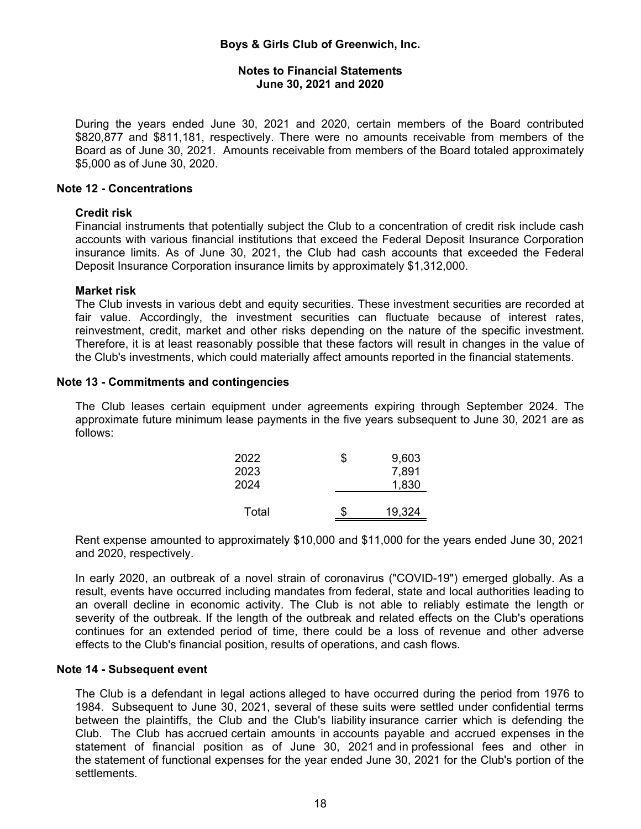### **Notes to Financial Statements June 30, 2021 and 2020**

During the years ended June 30, 2021 and 2020, certain members of the Board contributed \$820,877 and \$811,181, respectively. There were no amounts receivable from members of the Board as of June 30, 2021. Amounts receivable from members of the Board totaled approximately \$5,000 as of June 30, 2020.

#### **Note 12 - Concentrations**

#### **Credit risk**

Financial instruments that potentially subject the Club to a concentration of credit risk include cash accounts with various financial institutions that exceed the Federal Deposit Insurance Corporation insurance limits. As of June 30, 2021, the Club had cash accounts that exceeded the Federal Deposit Insurance Corporation insurance limits by approximately \$1,312,000.

#### **Market risk**

The Club invests in various debt and equity securities. These investment securities are recorded at fair value. Accordingly, the investment securities can fluctuate because of interest rates, reinvestment, credit, market and other risks depending on the nature of the specific investment. Therefore, it is at least reasonably possible that these factors will result in changes in the value of the Club's investments, which could materially affect amounts reported in the financial statements.

#### **Note 13 - Commitments and contingencies**

The Club leases certain equipment under agreements expiring through September 2024. The approximate future minimum lease payments in the five years subsequent to June 30, 2021 are as follows:

| 2022<br>2023 | \$<br>9,603<br>7,891 |
|--------------|----------------------|
| 2024         | 1,830                |
| Total        | \$<br>19,324         |

Rent expense amounted to approximately \$10,000 and \$11,000 for the years ended June 30, 2021 and 2020, respectively.

In early 2020, an outbreak of a novel strain of coronavirus ("COVID-19") emerged globally. As a result, events have occurred including mandates from federal, state and local authorities leading to an overall decline in economic activity. The Club is not able to reliably estimate the length or severity of the outbreak. If the length of the outbreak and related effects on the Club's operations continues for an extended period of time, there could be a loss of revenue and other adverse effects to the Club's financial position, results of operations, and cash flows.

#### **Note 14 - Subsequent event**

The Club is a defendant in legal actions alleged to have occurred during the period from 1976 to 1984. Subsequent to June 30, 2021, several of these suits were settled under confidential terms between the plaintiffs, the Club and the Club's liability insurance carrier which is defending the Club. The Club has accrued certain amounts in accounts payable and accrued expenses in the statement of financial position as of June 30, 2021 and in professional fees and other in the statement of functional expenses for the year ended June 30, 2021 for the Club's portion of the settlements.